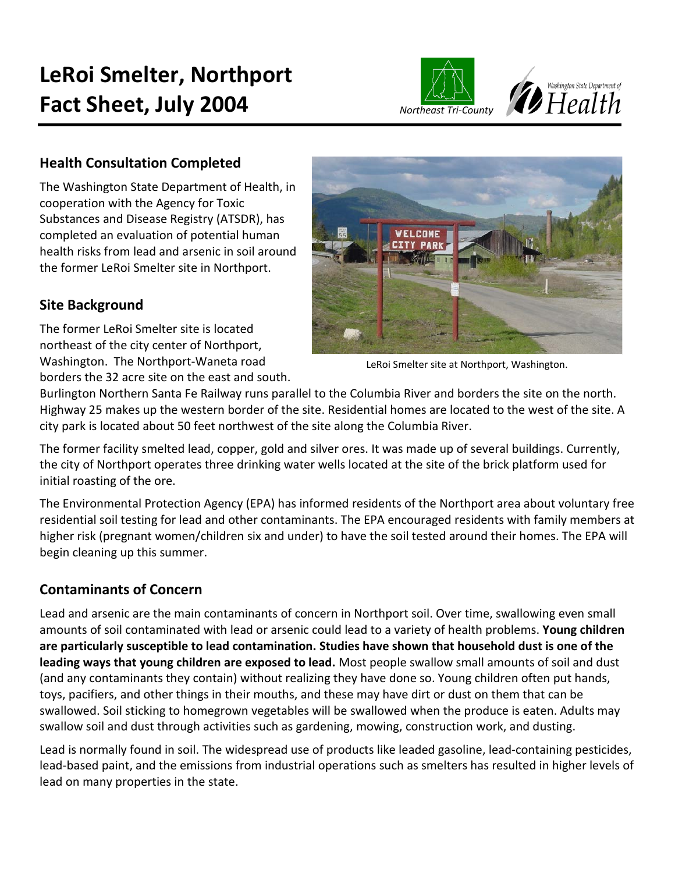



## **Health Consultation Completed**

The Washington State Department of Health, in cooperation with the Agency for Toxic Substances and Disease Registry (ATSDR), has completed an evaluation of potential human health risks from lead and arsenic in soil around the former LeRoi Smelter site in Northport.

## **Site Background**

The former LeRoi Smelter site is located northeast of the city center of Northport, Washington. The Northport-Waneta road borders the 32 acre site on the east and south.



LeRoi Smelter site at Northport, Washington.

Burlington Northern Santa Fe Railway runs parallel to the Columbia River and borders the site on the north. Highway 25 makes up the western border of the site. Residential homes are located to the west of the site. A city park is located about 50 feet northwest of the site along the Columbia River.

The former facility smelted lead, copper, gold and silver ores. It was made up of several buildings. Currently, the city of Northport operates three drinking water wells located at the site of the brick platform used for initial roasting of the ore.

The Environmental Protection Agency (EPA) has informed residents of the Northport area about voluntary free residential soil testing for lead and other contaminants. The EPA encouraged residents with family members at higher risk (pregnant women/children six and under) to have the soil tested around their homes. The EPA will begin cleaning up this summer.

# **Contaminants of Concern**

Lead and arsenic are the main contaminants of concern in Northport soil. Over time, swallowing even small amounts of soil contaminated with lead or arsenic could lead to a variety of health problems. **Young children are particularly susceptible to lead contamination. Studies have shown that household dust is one of the leading ways that young children are exposed to lead.** Most people swallow small amounts of soil and dust (and any contaminants they contain) without realizing they have done so. Young children often put hands, toys, pacifiers, and other things in their mouths, and these may have dirt or dust on them that can be swallowed. Soil sticking to homegrown vegetables will be swallowed when the produce is eaten. Adults may swallow soil and dust through activities such as gardening, mowing, construction work, and dusting.

Lead is normally found in soil. The widespread use of products like leaded gasoline, lead-containing pesticides, lead-based paint, and the emissions from industrial operations such as smelters has resulted in higher levels of lead on many properties in the state.